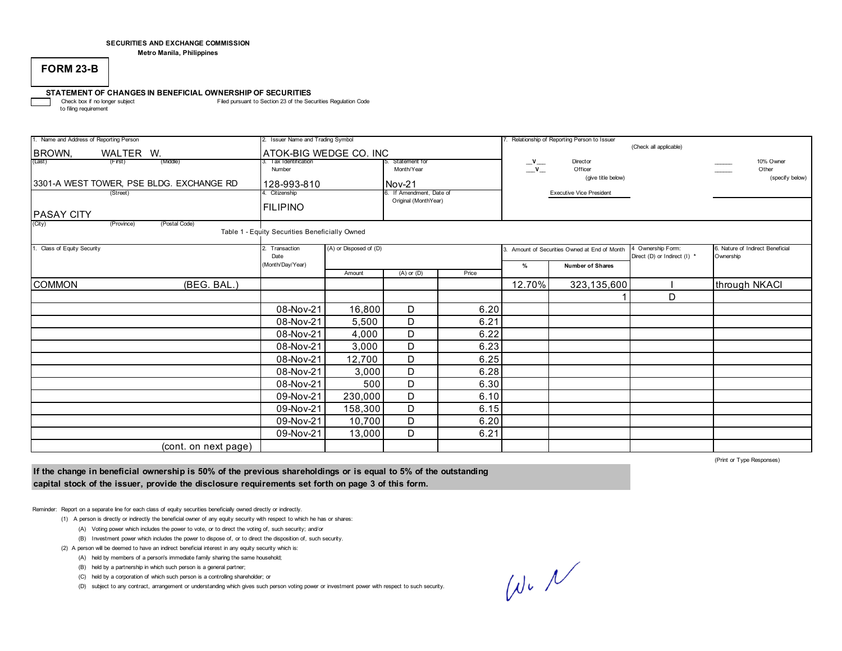## **SECURITIES AND EXCHANGE COMMISSION**

**Metro Manila, Philippines**

# **FORM 23-B**

## **STATEMENT OF CHANGES IN BENEFICIAL OWNERSHIP OF SECURITIES**

Check box if no longer subject Filed pursuant to Section 23 of the Securities Regulation Code

to filing requirement

| 1. Name and Address of Reporting Person<br>2. Issuer Name and Trading Symbol |                                                |                        |                             |                          | Relationship of Reporting Person to Issuer |                                               |                                                   |                                               |  |  |  |  |
|------------------------------------------------------------------------------|------------------------------------------------|------------------------|-----------------------------|--------------------------|--------------------------------------------|-----------------------------------------------|---------------------------------------------------|-----------------------------------------------|--|--|--|--|
| BROWN,<br>WALTER W.                                                          |                                                | ATOK-BIG WEDGE CO. INC |                             |                          |                                            | (Check all applicable)                        |                                                   |                                               |  |  |  |  |
| (Last)<br>(First)<br>(Middle)                                                | I ax Identification<br>Number                  |                        | Statement for<br>Month/Year |                          | Director<br>$\frac{-v}{-v}$<br>Officer     |                                               |                                                   | 10% Owner<br>Other                            |  |  |  |  |
| 3301-A WEST TOWER, PSE BLDG. EXCHANGE RD                                     | 128-993-810                                    |                        |                             | <b>Nov-21</b>            |                                            | (give title below)                            |                                                   | (specify below)                               |  |  |  |  |
| (Street)                                                                     | . Citizenship                                  |                        |                             | 6. If Amendment, Date of |                                            | <b>Executive Vice President</b>               |                                                   |                                               |  |  |  |  |
| <b>PASAY CITY</b>                                                            | <b>FILIPINO</b>                                |                        | Original (MonthYear)        |                          |                                            |                                               |                                                   |                                               |  |  |  |  |
| (City)<br>(Postal Code)<br>(Province)                                        | Table 1 - Equity Securities Beneficially Owned |                        |                             |                          |                                            |                                               |                                                   |                                               |  |  |  |  |
| 1. Class of Equity Security                                                  | 2. Transaction<br>Date                         | (A) or Disposed of (D) |                             |                          |                                            | 3. Amount of Securities Owned at End of Month | 4 Ownership Form:<br>Direct (D) or Indirect (I) * | 6. Nature of Indirect Beneficial<br>Ownership |  |  |  |  |
|                                                                              | (Month/Day/Year)                               |                        |                             | Price                    | %                                          | Number of Shares                              |                                                   |                                               |  |  |  |  |
| <b>COMMON</b><br>(BEG. BAL.)                                                 |                                                | Amount                 | $(A)$ or $(D)$              |                          | 12.70%                                     | 323,135,600                                   |                                                   | through NKACI                                 |  |  |  |  |
|                                                                              |                                                |                        |                             |                          |                                            |                                               | D                                                 |                                               |  |  |  |  |
|                                                                              |                                                |                        |                             |                          |                                            |                                               |                                                   |                                               |  |  |  |  |
|                                                                              | 08-Nov-21                                      | 16,800                 | D                           | 6.20                     |                                            |                                               |                                                   |                                               |  |  |  |  |
|                                                                              | 08-Nov-21                                      | 5,500                  | D                           | 6.21                     |                                            |                                               |                                                   |                                               |  |  |  |  |
|                                                                              | 08-Nov-21                                      | 4,000                  | D                           | 6.22                     |                                            |                                               |                                                   |                                               |  |  |  |  |
|                                                                              | 08-Nov-21                                      | 3,000                  | D                           | 6.23                     |                                            |                                               |                                                   |                                               |  |  |  |  |
|                                                                              | 08-Nov-21                                      | 12,700                 | D                           | 6.25                     |                                            |                                               |                                                   |                                               |  |  |  |  |
|                                                                              | 08-Nov-21                                      | 3,000                  | D                           | 6.28                     |                                            |                                               |                                                   |                                               |  |  |  |  |
|                                                                              | 08-Nov-21                                      | 500                    | D                           | 6.30                     |                                            |                                               |                                                   |                                               |  |  |  |  |
|                                                                              | 09-Nov-21                                      | 230,000                | D                           | 6.10                     |                                            |                                               |                                                   |                                               |  |  |  |  |
|                                                                              | 09-Nov-21                                      | 158,300                | D                           | 6.15                     |                                            |                                               |                                                   |                                               |  |  |  |  |
|                                                                              | 09-Nov-21                                      | 10,700                 | D                           | 6.20                     |                                            |                                               |                                                   |                                               |  |  |  |  |
|                                                                              | 09-Nov-21                                      | 13,000                 | D                           | 6.21                     |                                            |                                               |                                                   |                                               |  |  |  |  |
| (cont. on next page)                                                         |                                                |                        |                             |                          |                                            |                                               |                                                   |                                               |  |  |  |  |

(Print or Type Responses)

**If the change in beneficial ownership is 50% of the previous shareholdings or is equal to 5% of the outstanding capital stock of the issuer, provide the disclosure requirements set forth on page 3 of this form.**

Reminder: Report on a separate line for each class of equity securities beneficially owned directly or indirectly.

- (1) A person is directly or indirectly the beneficial owner of any equity security with respect to which he has or shares:
	- (A) Voting power which includes the power to vote, or to direct the voting of, such security; and/or
	- (B) Investment power which includes the power to dispose of, or to direct the disposition of, such security.

(2) A person will be deemed to have an indirect beneficial interest in any equity security which is:

- (A) held by members of a person's immediate family sharing the same household;
- (B) held by a partnership in which such person is a general partner;
- (C) held by a corporation of which such person is a controlling shareholder; or

(D) subject to any contract, arrangement or understanding which gives such person voting power or investment power with respect to such security.

 $\omega \mathbin{\mathcal{N}}$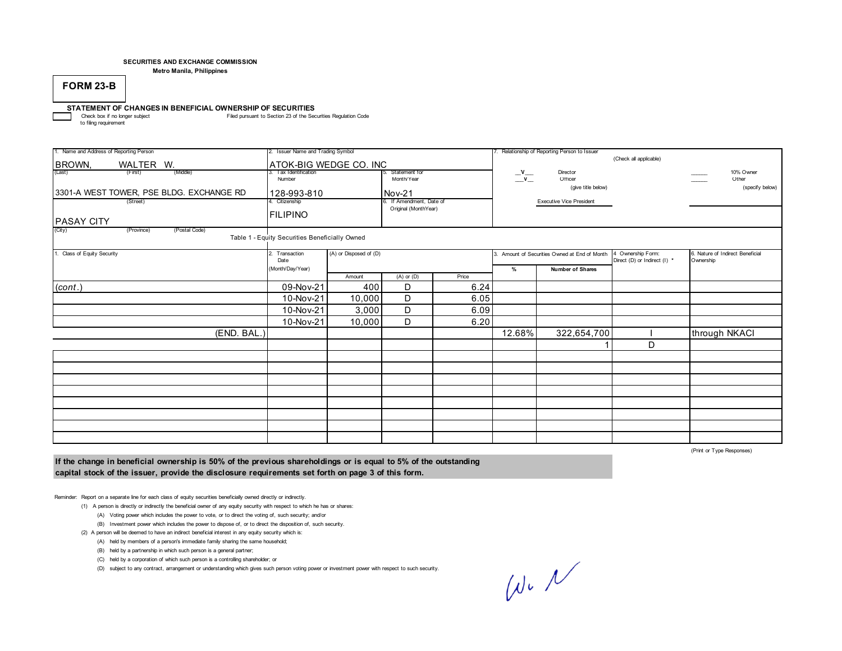## **SECURITIES AND EXCHANGE COMMISSION**

**Metro Manila, Philippines**

# **FORM 23-B**

Г

**STATEMENT OF CHANGES IN BENEFICIAL OWNERSHIP OF SECURITIES**<br>
Filed pursuant to Section 23 of the Sec Filed pursuant to Section 23 of the Securities Regulation Code

to filing requirement

| 1. Name and Address of Reporting Person<br>2. Issuer Name and Trading Symbol |                                                |        |                                                  |       | Relationship of Reporting Person to Issuer |                                               |                              |                                  |  |  |
|------------------------------------------------------------------------------|------------------------------------------------|--------|--------------------------------------------------|-------|--------------------------------------------|-----------------------------------------------|------------------------------|----------------------------------|--|--|
|                                                                              |                                                |        |                                                  |       | (Check all applicable)                     |                                               |                              |                                  |  |  |
| BROWN,<br>WALTER W.                                                          | ATOK-BIG WEDGE CO. INC                         |        |                                                  |       |                                            |                                               |                              |                                  |  |  |
| (Last)<br>(First)<br>(Middle)                                                | 3. Tax Identification<br>Number                |        | Statement for<br>Month/Year                      |       | $\frac{-v}{-v}$                            | Director<br>Officer                           |                              | 10% Owner<br>Other               |  |  |
|                                                                              |                                                |        |                                                  |       |                                            | (give title below)                            |                              | (specify below)                  |  |  |
| 3301-A WEST TOWER, PSE BLDG. EXCHANGE RD                                     | 128-993-810                                    |        | <b>Nov-21</b>                                    |       |                                            |                                               |                              |                                  |  |  |
| (Street)                                                                     | Citizenship                                    |        | 3. If Amendment, Date of<br>Original (MonthYear) |       |                                            | <b>Executive Vice President</b>               |                              |                                  |  |  |
|                                                                              | <b>FILIPINO</b>                                |        |                                                  |       |                                            |                                               |                              |                                  |  |  |
| PASAY CITY                                                                   |                                                |        |                                                  |       |                                            |                                               |                              |                                  |  |  |
| (City)<br>(Province)<br>(Postal Code)                                        |                                                |        |                                                  |       |                                            |                                               |                              |                                  |  |  |
|                                                                              | Table 1 - Equity Securities Beneficially Owned |        |                                                  |       |                                            |                                               |                              |                                  |  |  |
| Class of Equity Security<br>(A) or Disposed of (D)<br>2. Transaction         |                                                |        |                                                  |       |                                            | 3. Amount of Securities Owned at End of Month | 4 Ownership Form:            | 6. Nature of Indirect Beneficial |  |  |
|                                                                              | Date<br>(Month/Day/Year)                       |        |                                                  |       |                                            |                                               | Direct (D) or Indirect (I) * | Ownership                        |  |  |
|                                                                              |                                                | Amount | $(A)$ or $(D)$                                   | Price | %                                          | Number of Shares                              |                              |                                  |  |  |
| (cont.)                                                                      | 09-Nov-21                                      | 400    | D                                                | 6.24  |                                            |                                               |                              |                                  |  |  |
|                                                                              | 10-Nov-21                                      | 10,000 | D                                                | 6.05  |                                            |                                               |                              |                                  |  |  |
|                                                                              | 10-Nov-21                                      | 3,000  | D                                                | 6.09  |                                            |                                               |                              |                                  |  |  |
|                                                                              | 10-Nov-21                                      | 10,000 | D                                                | 6.20  |                                            |                                               |                              |                                  |  |  |
| (END. BAL.)                                                                  |                                                |        |                                                  |       | 12.68%                                     | 322,654,700                                   |                              | through NKACI                    |  |  |
|                                                                              |                                                |        |                                                  |       |                                            |                                               | D                            |                                  |  |  |
|                                                                              |                                                |        |                                                  |       |                                            |                                               |                              |                                  |  |  |
|                                                                              |                                                |        |                                                  |       |                                            |                                               |                              |                                  |  |  |
|                                                                              |                                                |        |                                                  |       |                                            |                                               |                              |                                  |  |  |
|                                                                              |                                                |        |                                                  |       |                                            |                                               |                              |                                  |  |  |
|                                                                              |                                                |        |                                                  |       |                                            |                                               |                              |                                  |  |  |
|                                                                              |                                                |        |                                                  |       |                                            |                                               |                              |                                  |  |  |
|                                                                              |                                                |        |                                                  |       |                                            |                                               |                              |                                  |  |  |
|                                                                              |                                                |        |                                                  |       |                                            |                                               |                              |                                  |  |  |
|                                                                              |                                                |        |                                                  |       |                                            |                                               |                              |                                  |  |  |

(Print or Type Responses)

**If the change in beneficial ownership is 50% of the previous shareholdings or is equal to 5% of the outstanding capital stock of the issuer, provide the disclosure requirements set forth on page 3 of this form.**

Reminder: Report on a separate line for each class of equity securities beneficially owned directly or indirectly.

- (1) A person is directly or indirectly the beneficial owner of any equity security with respect to which he has or shares:
	- (A) Voting power which includes the power to vote, or to direct the voting of, such security; and/or
	- (B) Investment power which includes the power to dispose of, or to direct the disposition of, such security.
- (2) A person will be deemed to have an indirect beneficial interest in any equity security which is:

(A) held by members of a person's immediate family sharing the same household;

- (B) held by a partnership in which such person is a general partner;
- (C) held by a corporation of which such person is a controlling shareholder; or

(D) subject to any contract, arrangement or understanding which gives such person voting power or investment power with respect to such security.

 $\omega \sim 1$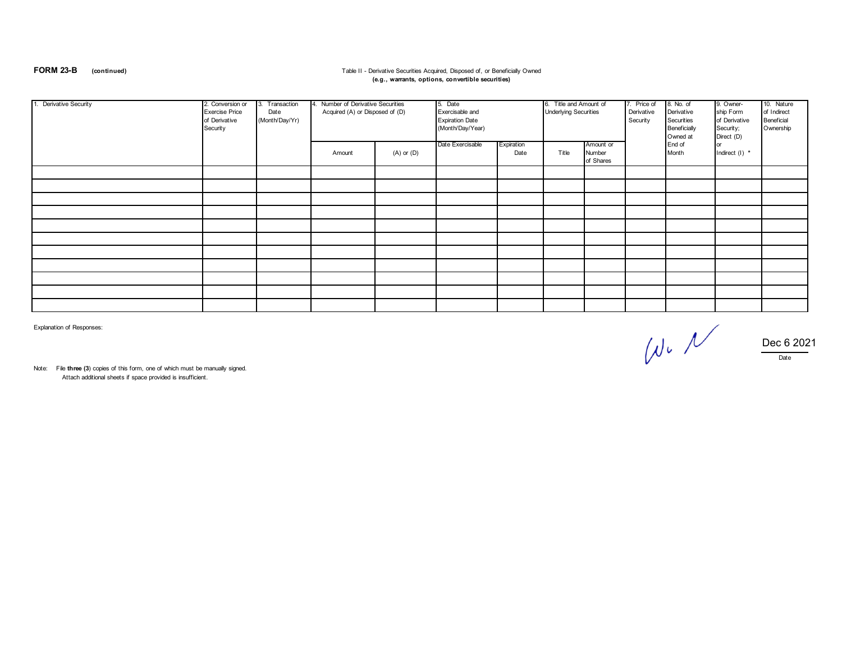# **FORM 23-B** (continued) **Table II - Derivative Securities Acquired, Disposed of, or Beneficially Owned (e.g., warrants, options, convertible securities)**

| Derivative Security | 2. Conversion or<br><b>Exercise Price</b><br>of Derivative<br>Security | Transaction<br>3.<br>Date<br>(Month/Day/Yr) | 4. Number of Derivative Securities<br>Acquired (A) or Disposed of (D) |                | 5. Date<br>Exercisable and<br><b>Expiration Date</b><br>(Month/Day/Year) |                    | 6. Title and Amount of<br><b>Underlying Securities</b> |                                  | 7. Price of<br>Derivative<br>Security | 8. No. of<br>Derivative<br>Securities<br>Beneficially<br>Owned at | 9. Owner-<br>ship Form<br>of Derivative<br>Security;<br>Direct (D) | 10. Nature<br>of Indirect<br>Beneficial<br>Ownership |
|---------------------|------------------------------------------------------------------------|---------------------------------------------|-----------------------------------------------------------------------|----------------|--------------------------------------------------------------------------|--------------------|--------------------------------------------------------|----------------------------------|---------------------------------------|-------------------------------------------------------------------|--------------------------------------------------------------------|------------------------------------------------------|
|                     |                                                                        |                                             | Amount                                                                | $(A)$ or $(D)$ | Date Exercisable                                                         | Expiration<br>Date | Title                                                  | Amount or<br>Number<br>of Shares |                                       | End of<br>Month                                                   | <b>or</b><br>Indirect (I) *                                        |                                                      |
|                     |                                                                        |                                             |                                                                       |                |                                                                          |                    |                                                        |                                  |                                       |                                                                   |                                                                    |                                                      |
|                     |                                                                        |                                             |                                                                       |                |                                                                          |                    |                                                        |                                  |                                       |                                                                   |                                                                    |                                                      |
|                     |                                                                        |                                             |                                                                       |                |                                                                          |                    |                                                        |                                  |                                       |                                                                   |                                                                    |                                                      |
|                     |                                                                        |                                             |                                                                       |                |                                                                          |                    |                                                        |                                  |                                       |                                                                   |                                                                    |                                                      |
|                     |                                                                        |                                             |                                                                       |                |                                                                          |                    |                                                        |                                  |                                       |                                                                   |                                                                    |                                                      |
|                     |                                                                        |                                             |                                                                       |                |                                                                          |                    |                                                        |                                  |                                       |                                                                   |                                                                    |                                                      |
|                     |                                                                        |                                             |                                                                       |                |                                                                          |                    |                                                        |                                  |                                       |                                                                   |                                                                    |                                                      |
|                     |                                                                        |                                             |                                                                       |                |                                                                          |                    |                                                        |                                  |                                       |                                                                   |                                                                    |                                                      |
|                     |                                                                        |                                             |                                                                       |                |                                                                          |                    |                                                        |                                  |                                       |                                                                   |                                                                    |                                                      |
|                     |                                                                        |                                             |                                                                       |                |                                                                          |                    |                                                        |                                  |                                       |                                                                   |                                                                    |                                                      |
|                     |                                                                        |                                             |                                                                       |                |                                                                          |                    |                                                        |                                  |                                       |                                                                   |                                                                    |                                                      |

Explanation of Responses:

 $\omega \mathbin{\lrcorner} \mathcal{N}$ 

Date Dec 6 2021

Note: File **three (3**) copies of this form, one of which must be manually signed. Attach additional sheets if space provided is insufficient.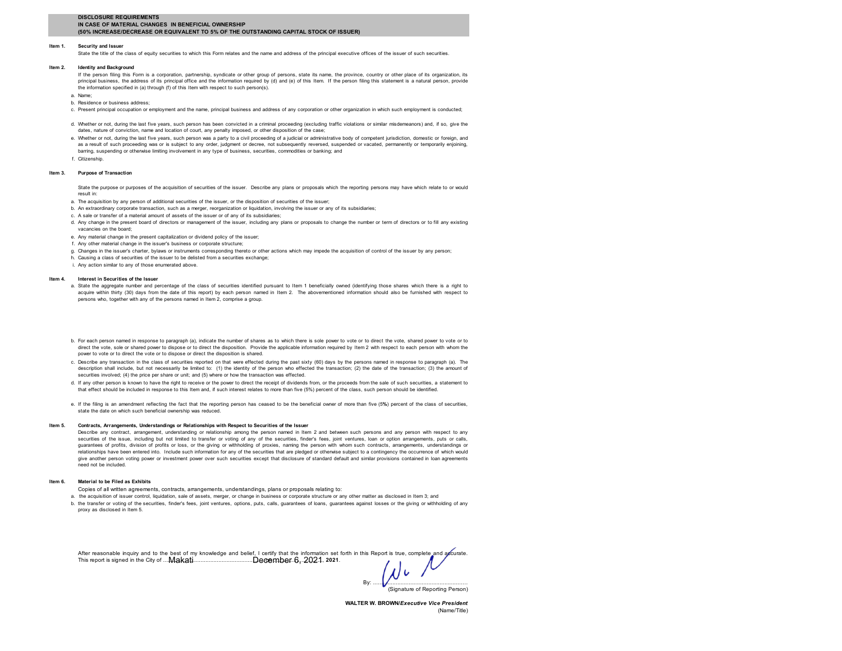#### **Item 1. Security and Issuer**

State the title of the class of equity securities to which this Form relates and the name and address of the principal executive offices of the issuer of such securities.

### **Item 2. Identity and Background**

If the person filing this Form is a corporation, partnership, syndicate or other group of persons, state its name, the province, country or other place of its organization, its principal business, the address of its principal office and the information required by (d) and (e) of this Item. If the person filing this statement is a natural person, provide the information specified in (a) through (f) of this Item with respect to such person(s).

- a. Name;
- b. Residence or business address;

c. Present principal occupation or employment and the name, principal business and address of any corporation or other organization in which such employment is conducted;

d. Whether or not, during the last five years, such person has been convicted in a criminal proceeding (excluding traffic violations or similar misdemeanors) and, if so, give the dates, nature of conviction, name and location of court, any penalty imposed, or other disposition of the case;

- e. Whether or not, during the last five years, such person was a party to a civil proceeding of a judicial or administrative body of competent jurisdiction, domestic or foreign, and as a result of such proceeding was or is subject to any order, judgment or decree, not subsequently reversed, suspended or vacated, permanently or temporarily enjoining, barring, suspending or otherwise limiting involvement in any type of business, securities, commodities or banking; and
- f. Citizenship.

#### **Item 3. Purpose of Transaction**

State the purpose or purposes of the acquisition of securities of the issuer. Describe any plans or proposals which the reporting persons may have which relate to or would result in:

- a. The acquisition by any person of additional securities of the issuer, or the disposition of securities of the issuer;
- b. An extraordinary corporate transaction, such as a merger, reorganization or liquidation, involving the issuer or any of its subsidiaries;
- c. A sale or transfer of a material amount of assets of the issuer or of any of its subsidiaries;
- d. Any change in the present board of directors or management of the issuer, including any plans or proposals to change the number or term of directors or to fill any existing vacancies on the board;
- e. Any material change in the present capitalization or dividend policy of the issuer;
- f. Any other material change in the issuer's business or corporate structure;
- g. Changes in the issuer's charter, bylaws or instruments corresponding thereto or other actions which may impede the acquisition of control of the issuer by any person
- h. Causing a class of securities of the issuer to be delisted from a securities exchange;
- i. Any action similar to any of those enumerated above.

#### **Item 4. Interest in Securities of the Issuer**

- a. State the aggregate number and percentage of the class of securities identified pursuant to Item 1 beneficially owned (identifying those shares which there is a right to acquire within thirty (30) days from the date of this report) by each person named in Item 2. The abovementioned information should also be furnished with respect to persons who, together with any of the persons named in Item 2, comprise a group.
- b. For each person named in response to paragraph (a), indicate the number of shares as to which there is sole power to vote or to direct the vote, shared power to vote or to direct the vote, sole or shared power to dispose or to direct the disposition. Provide the applicable information required by Item 2 with respect to each person with whom the power to vote or to direct the vote or to dispose or direct the disposition is shared.
- c. Describe any transaction in the class of securities reported on that were effected during the past sixty (60) days by the persons named in response to paragraph (a). The description shall include, but not necessarily be limited to: (1) the identity of the person who effected the transaction; (2) the date of the transaction; (3) the amount of securities involved; (4) the price per share or unit; and (5) where or how the transaction was effected.
- d. If any other person is known to have the right to receive or the power to direct the receipt of dividends from, or the proceeds from the sale of such securities, a statement to that effect should be included in response to this Item and, if such interest relates to more than five (5%) percent of the class, such person should be identified.
- e. If the filing is an amendment reflecting the fact that the reporting person has ceased to be the beneficial owner of more than five (5**%**) percent of the class of securities, state the date on which such beneficial ownership was reduced.

#### **Item 5. Contracts, Arrangements, Understandings or Relationships with Respect to Securities of the Issuer**

Describe any contract, arrangement, understanding or relationship among the person named in Item 2 and between such persons and any person with respect to any securities of the issue, including but not limited to transfer or voting of any of the securities, finder's fees, joint ventures, loan or option arrangements, puts or calls, guarantees of profits, division of profits or loss, or the giving or withholding of proxies, naming the person with whom such contracts, arrangements, understandings or relationships have been entered into. Include such information for any of the securities that are pledged or otherwise subject to a contingency the occurrence of which would give another person voting power or investment power over such securities except that disclosure of standard default and similar provisions contained in loan agreements need not be included.

### **Item 6. Material to be Filed as Exhibits**

- Copies of all written agreements, contracts, arrangements, understandings, plans or proposals relating to:
- a. the acquisition of issuer control, liquidation, sale of assets, merger, or change in business or corporate structure or any other matter as disclosed in Item 3; and
- b. the transfer or voting of the securities, finder's fees, joint ventures, options, puts, calls, guarantees of loans, guarantees against losses or the giving or withholding of any proxy as disclosed in Item 5.

After reasonable inquiry and to the best of my knowledge and belief, I certify that the information set forth in this Report is true, complete and accurate This report is signed in the City of ...**.Makati.**.. ...December 6, 2021, 2021.

By: .......................................................…

(Signature of Reporting Person)

**WALTER W. BROWN/***Executive Vice President* (Name/Title)